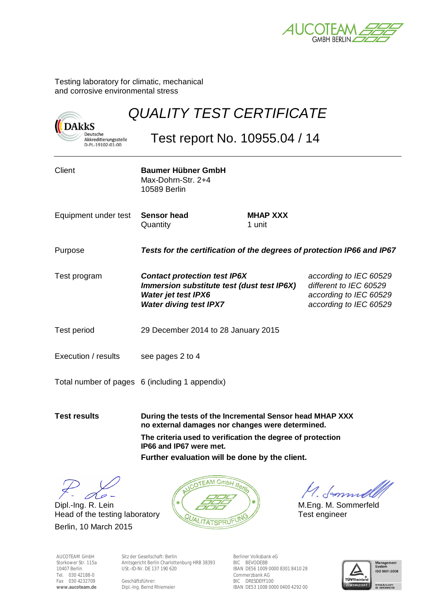

Testing laboratory for climatic, mechanical and corrosive environmental stress

| <b>DARKS</b>                                          |                                                                                                                                                  | <b>QUALITY TEST CERTIFICATE</b> |                                                                                                      |  |
|-------------------------------------------------------|--------------------------------------------------------------------------------------------------------------------------------------------------|---------------------------------|------------------------------------------------------------------------------------------------------|--|
| Deutsche<br>Akkreditierungsstelle<br>D-PL-19102-01-00 | Test report No. 10955.04 / 14                                                                                                                    |                                 |                                                                                                      |  |
| Client                                                | <b>Baumer Hübner GmbH</b><br>Max-Dohrn-Str. 2+4<br><b>10589 Berlin</b>                                                                           |                                 |                                                                                                      |  |
| Equipment under test                                  | <b>Sensor head</b><br>Quantity                                                                                                                   | <b>MHAP XXX</b><br>1 unit       |                                                                                                      |  |
| Purpose                                               | Tests for the certification of the degrees of protection IP66 and IP67                                                                           |                                 |                                                                                                      |  |
| Test program                                          | <b>Contact protection test IP6X</b><br>Immersion substitute test (dust test IP6X)<br><b>Water jet test IPX6</b><br><b>Water diving test IPX7</b> |                                 | according to IEC 60529<br>different to IEC 60529<br>according to IEC 60529<br>according to IEC 60529 |  |
| <b>Test period</b>                                    | 29 December 2014 to 28 January 2015                                                                                                              |                                 |                                                                                                      |  |
| Execution / results                                   | see pages 2 to 4                                                                                                                                 |                                 |                                                                                                      |  |
|                                                       | Total number of pages 6 (including 1 appendix)                                                                                                   |                                 |                                                                                                      |  |
| <b>Test results</b>                                   | During the tests of the Incremental Sensor head MHAP XXX                                                                                         |                                 |                                                                                                      |  |

**no external damages nor changes were determined. The criteria used to verification the degree of protection** 

**IP66 and IP67 were met.**

**Further evaluation will be done by the client.**

 $\infty$ -

Head of the testing laboratory **Next ITATSPRUFUNG** Test engineer Berlin, 10 March 2015



AUCOTEAM GmbH Storkower Str. 115a 10407 Berlin Tel. 030 42188-0 Fax 030 4232709 **www.aucoteam.de** 

Sitz der Gesellschaft: Berlin Amtsgericht Berlin Charlottenburg HRB 38393 USt.-ID-Nr. DE 137 190 620

Geschäftsführer: Dipl.-Ing. Bernd Rhiemeier

Berliner Volksbank eG BIC BEVODEBB IBAN DE56 1009 0000 8301 8410 28 Commerzbank AG BIC DRESDEFF100 IBAN DE53 1008 0000 0400 4292 00

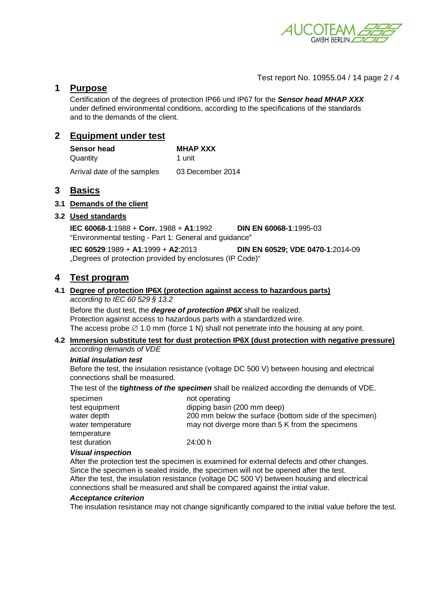

Test report No. 10955.04 / 14 page 2 / 4

## **1 Purpose**

Certification of the degrees of protection IP66 und IP67 for the *Sensor head MHAP XXX*  under defined environmental conditions, according to the specifications of the standards and to the demands of the client.

# **2 Equipment under test**

| <b>Sensor head</b>          | <b>MHAP XXX</b>  |
|-----------------------------|------------------|
| Quantity                    | 1 unit           |
| Arrival date of the samples | 03 December 2014 |

## **3 Basics**

### **3.1 Demands of the client**

### **3.2 Used standards**

**IEC 60068-1**:1988 + **Corr.** 1988 + **A1**:1992 **DIN EN 60068-1**:1995-03 "Environmental testing - Part 1: General and guidance"

**IEC 60529**:1989 + **A1**:1999 + **A2**:2013 **DIN EN 60529; VDE 0470-1**:2014-09 "Degrees of protection provided by enclosures (IP Code)"

## **4 Test program**

# **4.1 Degree of protection IP6X (protection against access to hazardous parts)**

*according to IEC 60 529 § 13.2*

Before the dust test, the *degree of protection IP6X* shall be realized. Protection against access to hazardous parts with a standardized wire. The access probe  $\varnothing$  1.0 mm (force 1 N) shall not penetrate into the housing at any point.

# **4.2 Immersion substitute test for dust protection IP6X (dust protection with negative pressure)**

## *according demands of VDE*

### *Initial insulation test*

Before the test, the insulation resistance (voltage DC 500 V) between housing and electrical connections shall be measured.

The test of the *tightness of the specimen* shall be realized according the demands of VDE.

| specimen          | not operating                                          |
|-------------------|--------------------------------------------------------|
| test equipment    | dipping basin (200 mm deep)                            |
| water depth       | 200 mm below the surface (bottom side of the specimen) |
| water temperature | may not diverge more than 5 K from the specimens       |
| temperature       |                                                        |
| test duration     | 24:00 h                                                |
|                   |                                                        |

### *Visual inspection*

After the protection test the specimen is examined for external defects and other changes. Since the specimen is sealed inside, the specimen will not be opened after the test. After the test, the insulation resistance (voltage DC 500 V) between housing and electrical connections shall be measured and shall be compared against the intial value.

### *Acceptance criterion*

The insulation resistance may not change significantly compared to the initial value before the test.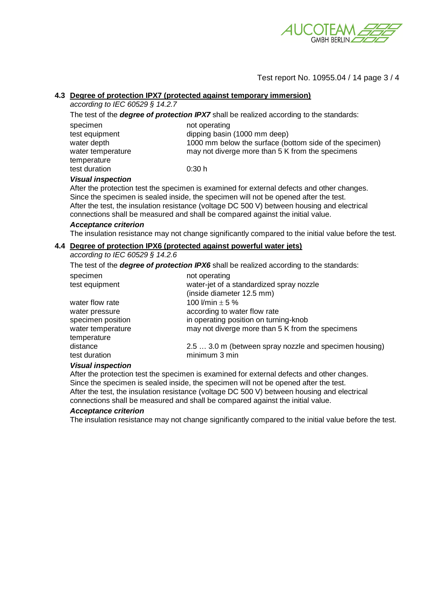

### Test report No. 10955.04 / 14 page 3 / 4

## **4.3 Degree of protection IPX7 (protected against temporary immersion)**

*according to IEC 60529 § 14.2.7* 

|                   | The test of the <b>degree of protection IPX7</b> shall be realized according to the standards: |
|-------------------|------------------------------------------------------------------------------------------------|
| specimen          | not operating                                                                                  |
| test equipment    | dipping basin (1000 mm deep)                                                                   |
| water depth       | 1000 mm below the surface (bottom side of the specimen)                                        |
| water temperature | may not diverge more than 5 K from the specimens                                               |
| temperature       |                                                                                                |
| test duration     | 0:30h                                                                                          |

#### *Visual inspection*

After the protection test the specimen is examined for external defects and other changes. Since the specimen is sealed inside, the specimen will not be opened after the test. After the test, the insulation resistance (voltage DC 500 V) between housing and electrical connections shall be measured and shall be compared against the initial value.

#### *Acceptance criterion*

The insulation resistance may not change significantly compared to the initial value before the test.

## **4.4 Degree of protection IPX6 (protected against powerful water jets)**

*according to IEC 60529 § 14.2.6* 

The test of the *degree of protection IPX6* shall be realized according to the standards:

| specimen          | not operating                                          |
|-------------------|--------------------------------------------------------|
| test equipment    | water-jet of a standardized spray nozzle               |
|                   | (inside diameter 12.5 mm)                              |
| water flow rate   | 100 l/min $\pm$ 5 %                                    |
| water pressure    | according to water flow rate                           |
| specimen position | in operating position on turning-knob                  |
| water temperature | may not diverge more than 5 K from the specimens       |
| temperature       |                                                        |
| distance          | 2.5  3.0 m (between spray nozzle and specimen housing) |
| test duration     | minimum 3 min                                          |

### *Visual inspection*

After the protection test the specimen is examined for external defects and other changes. Since the specimen is sealed inside, the specimen will not be opened after the test. After the test, the insulation resistance (voltage DC 500 V) between housing and electrical connections shall be measured and shall be compared against the initial value.

#### *Acceptance criterion*

The insulation resistance may not change significantly compared to the initial value before the test.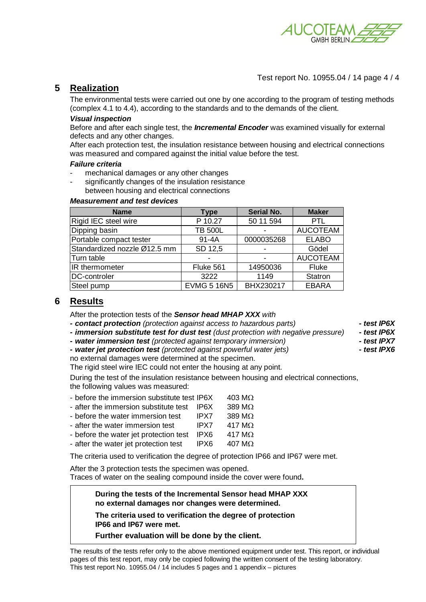

## Test report No. 10955.04 / 14 page 4 / 4

# **5 Realization**

The environmental tests were carried out one by one according to the program of testing methods (complex 4.1 to 4.4), according to the standards and to the demands of the client.

### *Visual inspection*

Before and after each single test, the *Incremental Encoder* was examined visually for external defects and any other changes.

After each protection test, the insulation resistance between housing and electrical connections was measured and compared against the initial value before the test.

#### *Failure criteria*

- mechanical damages or any other changes
- significantly changes of the insulation resistance between housing and electrical connections

### *Measurement and test devices*

| <b>Name</b>                  | <b>Type</b>        | <b>Serial No.</b> | <b>Maker</b>    |
|------------------------------|--------------------|-------------------|-----------------|
| Rigid IEC steel wire         | P 10.27            | 50 11 594         | <b>PTL</b>      |
| Dipping basin                | <b>TB 500L</b>     |                   | <b>AUCOTEAM</b> |
| Portable compact tester      | $91 - 4A$          | 0000035268        | <b>ELABO</b>    |
| Standardized nozzle Ø12.5 mm | SD 12,5            |                   | Gödel           |
| Turn table                   |                    |                   | <b>AUCOTEAM</b> |
| IR thermometer               | Fluke 561          | 14950036          | <b>Fluke</b>    |
| <b>DC-controler</b>          | 3222               | 1149              | Statron         |
| Steel pump                   | <b>EVMG 5 16N5</b> | BHX230217         | <b>EBARA</b>    |

## **6 Results**

After the protection tests of the *Sensor head MHAP XXX with* 

*- contact protection (protection against access to hazardous parts) - test IP6X* 

*- immersion substitute test for dust test (dust protection with negative pressure) - test IP6X* 

- *water immersion test (protected against temporary immersion) test IPX7*
- *water jet protection test (protected against powerful water jets) test IPX6*
- no external damages were determined at the specimen.

The rigid steel wire IEC could not enter the housing at any point.

During the test of the insulation resistance between housing and electrical connections, the following values was measured:

- before the immersion substitute test IP6X  $403 \text{ M}\Omega$
- after the immersion substitute test IP6X  $389 \text{ M}\Omega$
- before the water immersion test  $IPX7$  389 MQ
- after the water immersion test IPX7  $417 \text{ M}\Omega$
- before the water jet protection test IPX6  $417 \text{ M}\Omega$
- after the water jet protection test IPX6  $407 M\Omega$

The criteria used to verification the degree of protection IP66 and IP67 were met.

After the 3 protection tests the specimen was opened. Traces of water on the sealing compound inside the cover were found**.** 

> **During the tests of the Incremental Sensor head MHAP XXX no external damages nor changes were determined.**

**The criteria used to verification the degree of protection IP66 and IP67 were met.**

**Further evaluation will be done by the client.** 

The results of the tests refer only to the above mentioned equipment under test. This report, or individual pages of this test report, may only be copied following the written consent of the testing laboratory. This test report No. 10955.04 / 14 includes 5 pages and 1 appendix – pictures

- 
- 
- 
-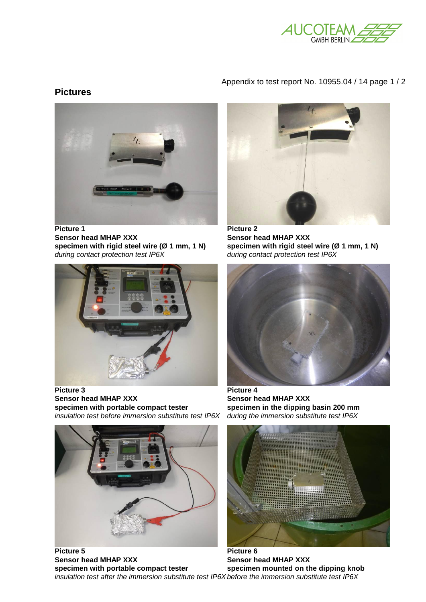

## Appendix to test report No. 10955.04 / 14 page 1 / 2

## **Pictures**



Sensor head MHAP XXX **Sensor head MHAP XXX** specimen with rigid steel wire (Ø 1 mm, 1 N) specimen with rigid steel wire (Ø 1 mm, 1 N) *during contact protection test IP6X during contact protection test IP6X* 



**Picture 3 Picture 4 Sensor head MHAP XXX**<br>specimen with portable compact tester<br>specimen in the dipping *insulation test before immersion substitute test IP6X* 



Picture 5 Picture 6 Sensor head MHAP XXX **Sensor head MHAP XXX** specimen with portable compact tester specimen mounted on the dipping knob *insulation test after the immersion substitute test IP6X before the immersion substitute test IP6X* 





specimen in the dipping basin 200 mm during the immersion substitute test IP6X